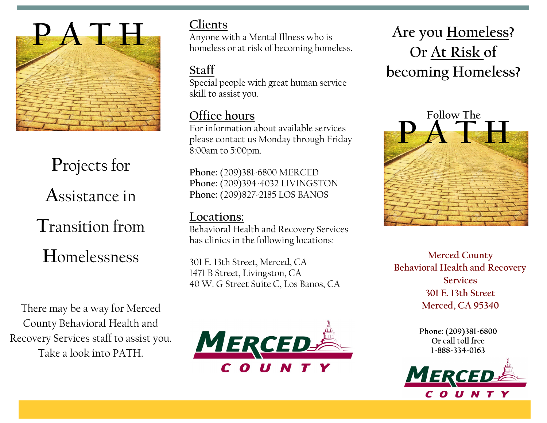

# **P**rojects for **A**ssistance in

**T**ransition from **H**omelessness

There may be a way for Merced County Behavioral Health and Recovery Services staff to assist you. Take a look into PATH.

### **Clients**

Anyone with a Mental Illness who is homeless or at risk of becoming homeless.

### **Staff**

Special people with great human service skill to assist you.

### **Office hours**

For information about available services please contact us Monday through Friday 8:00am to 5:00pm.

**Phone:** (209)381-6800 MERCED **Phone:** (209)394-4032 LIVINGSTON **Phone:** (209)827-2185 LOS BANOS

### **Locations:**

Behavioral Health and Recovery Services has clinics in the following locations:

301 E. 13th Street, Merced, CA 1471 B Street, Livingston, CA 40 W. G Street Suite C, Los Banos, CA



## **Are you Homeless? Or At Risk of becoming Homeless?**



**Merced County Behavioral Health and Recovery Services 301 E. 13th Street Merced, CA 95340**

> Phone: (209)381-6800 Or call toll free 1-888-334-0163